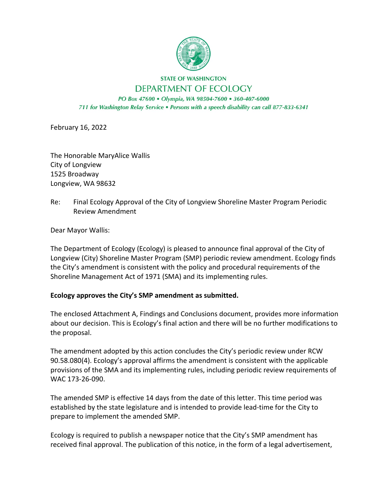

## **STATE OF WASHINGTON** DEPARTMENT OF ECOLOGY

PO Box 47600 · Olympia, WA 98504-7600 · 360-407-6000 711 for Washington Relay Service . Persons with a speech disability can call 877-833-6341

February 16, 2022

The Honorable MaryAlice Wallis City of Longview 1525 Broadway Longview, WA 98632

Re: Final Ecology Approval of the City of Longview Shoreline Master Program Periodic Review Amendment

Dear Mayor Wallis:

The Department of Ecology (Ecology) is pleased to announce final approval of the City of Longview (City) Shoreline Master Program (SMP) periodic review amendment. Ecology finds the City's amendment is consistent with the policy and procedural requirements of the Shoreline Management Act of 1971 (SMA) and its implementing rules.

## **Ecology approves the City's SMP amendment as submitted.**

The enclosed Attachment A, Findings and Conclusions document, provides more information about our decision. This is Ecology's final action and there will be no further modifications to the proposal.

The amendment adopted by this action concludes the City's periodic review under RCW 90.58.080(4). Ecology's approval affirms the amendment is consistent with the applicable provisions of the SMA and its implementing rules, including periodic review requirements of WAC 173-26-090.

The amended SMP is effective 14 days from the date of this letter. This time period was established by the state legislature and is intended to provide lead-time for the City to prepare to implement the amended SMP.

Ecology is required to publish a newspaper notice that the City's SMP amendment has received final approval. The publication of this notice, in the form of a legal advertisement,